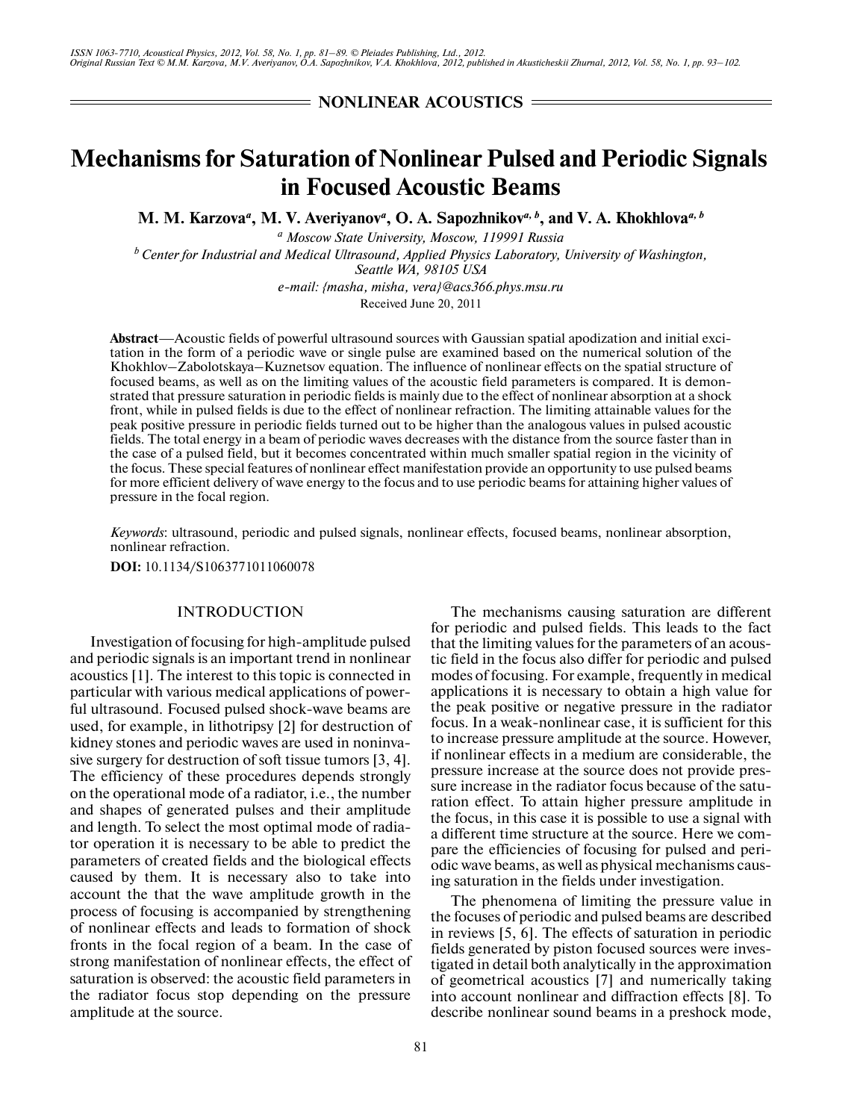**NONLINEAR ACOUSTICS =** 

# **Mechanisms for Saturation of Nonlinear Pulsed and Periodic Signals in Focused Acoustic Beams**

M. M. Karzova<sup>*a*</sup>, M. V. Averiyanov<sup>*a*</sup>, O. A. Sapozhnikov<sup>*a*, *b*</sup>, and V. A. Khokhlova<sup>*a*, *b*</sup>

*a Moscow State University, Moscow, 119991 Russia* <sup>*b*</sup> Center for Industrial and Medical Ultrasound, Applied Physics Laboratory, University of Washington, *Seattle WA, 98105 USA*

*e-mail: {masha, misha, vera}@acs366.phys.msu.ru* Received June 20, 2011

**Abstract**—Acoustic fields of powerful ultrasound sources with Gaussian spatial apodization and initial exci tation in the form of a periodic wave or single pulse are examined based on the numerical solution of the Khokhlov–Zabolotskaya–Kuznetsov equation. The influence of nonlinear effects on the spatial structure of focused beams, as well as on the limiting values of the acoustic field parameters is compared. It is demon strated that pressure saturation in periodic fields is mainly due to the effect of nonlinear absorption at a shock front, while in pulsed fields is due to the effect of nonlinear refraction. The limiting attainable values for the peak positive pressure in periodic fields turned out to be higher than the analogous values in pulsed acoustic fields. The total energy in a beam of periodic waves decreases with the distance from the source faster than in the case of a pulsed field, but it becomes concentrated within much smaller spatial region in the vicinity of the focus. These special features of nonlinear effect manifestation provide an opportunity to use pulsed beams for more efficient delivery of wave energy to the focus and to use periodic beams for attaining higher values of pressure in the focal region.

*Keywords*: ultrasound, periodic and pulsed signals, nonlinear effects, focused beams, nonlinear absorption, nonlinear refraction.

**DOI:** 10.1134/S1063771011060078

#### INTRODUCTION

Investigation of focusing for high-amplitude pulsed and periodic signals is an important trend in nonlinear acoustics [1]. The interest to this topic is connected in particular with various medical applications of power ful ultrasound. Focused pulsed shock-wave beams are used, for example, in lithotripsy [2] for destruction of kidney stones and periodic waves are used in noninva sive surgery for destruction of soft tissue tumors [3, 4]. The efficiency of these procedures depends strongly on the operational mode of a radiator, i.e., the number and shapes of generated pulses and their amplitude and length. To select the most optimal mode of radia tor operation it is necessary to be able to predict the parameters of created fields and the biological effects caused by them. It is necessary also to take into account the that the wave amplitude growth in the process of focusing is accompanied by strengthening of nonlinear effects and leads to formation of shock fronts in the focal region of a beam. In the case of strong manifestation of nonlinear effects, the effect of saturation is observed: the acoustic field parameters in the radiator focus stop depending on the pressure amplitude at the source.

The mechanisms causing saturation are different for periodic and pulsed fields. This leads to the fact that the limiting values for the parameters of an acous tic field in the focus also differ for periodic and pulsed modes of focusing. For example, frequently in medical applications it is necessary to obtain a high value for the peak positive or negative pressure in the radiator focus. In a weak-nonlinear case, it is sufficient for this to increase pressure amplitude at the source. However, if nonlinear effects in a medium are considerable, the pressure increase at the source does not provide pres sure increase in the radiator focus because of the satu ration effect. To attain higher pressure amplitude in the focus, in this case it is possible to use a signal with a different time structure at the source. Here we com pare the efficiencies of focusing for pulsed and peri odic wave beams, as well as physical mechanisms caus ing saturation in the fields under investigation.

The phenomena of limiting the pressure value in the focuses of periodic and pulsed beams are described in reviews [5, 6]. The effects of saturation in periodic fields generated by piston focused sources were inves tigated in detail both analytically in the approximation of geometrical acoustics [7] and numerically taking into account nonlinear and diffraction effects [8]. To describe nonlinear sound beams in a preshock mode,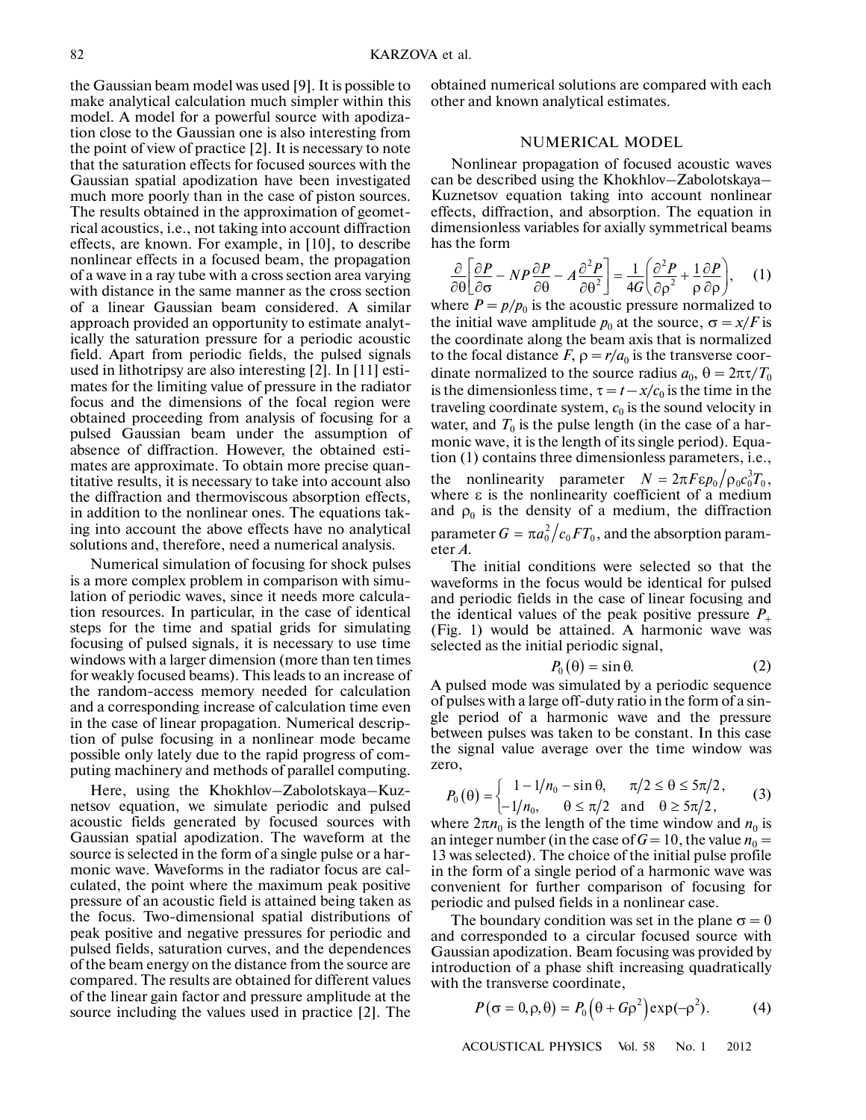the Gaussian beam model was used [9]. It is possible to make analytical calculation much simpler within this model. A model for a powerful source with apodiza tion close to the Gaussian one is also interesting from the point of view of practice [2]. It is necessary to note that the saturation effects for focused sources with the Gaussian spatial apodization have been investigated much more poorly than in the case of piston sources. The results obtained in the approximation of geomet rical acoustics, i.e., not taking into account diffraction effects, are known. For example, in [10], to describe nonlinear effects in a focused beam, the propagation of a wave in a ray tube with a cross section area varying with distance in the same manner as the cross section of a linear Gaussian beam considered. A similar approach provided an opportunity to estimate analyt ically the saturation pressure for a periodic acoustic field. Apart from periodic fields, the pulsed signals used in lithotripsy are also interesting [2]. In [11] esti mates for the limiting value of pressure in the radiator focus and the dimensions of the focal region were obtained proceeding from analysis of focusing for a pulsed Gaussian beam under the assumption of absence of diffraction. However, the obtained esti mates are approximate. To obtain more precise quan titative results, it is necessary to take into account also the diffraction and thermoviscous absorption effects, in addition to the nonlinear ones. The equations tak ing into account the above effects have no analytical solutions and, therefore, need a numerical analysis.

Numerical simulation of focusing for shock pulses is a more complex problem in comparison with simu lation of periodic waves, since it needs more calcula tion resources. In particular, in the case of identical steps for the time and spatial grids for simulating focusing of pulsed signals, it is necessary to use time windows with a larger dimension (more than ten times for weakly focused beams). This leads to an increase of the random-access memory needed for calculation and a corresponding increase of calculation time even in the case of linear propagation. Numerical descrip tion of pulse focusing in a nonlinear mode became possible only lately due to the rapid progress of com puting machinery and methods of parallel computing.

Here, using the Khokhlov–Zabolotskaya–Kuz netsov equation, we simulate periodic and pulsed acoustic fields generated by focused sources with Gaussian spatial apodization. The waveform at the source is selected in the form of a single pulse or a har monic wave. Waveforms in the radiator focus are cal culated, the point where the maximum peak positive pressure of an acoustic field is attained being taken as the focus. Two-dimensional spatial distributions of peak positive and negative pressures for periodic and pulsed fields, saturation curves, and the dependences of the beam energy on the distance from the source are compared. The results are obtained for different values of the linear gain factor and pressure amplitude at the source including the values used in practice [2]. The obtained numerical solutions are compared with each other and known analytical estimates.

## NUMERICAL MODEL

Nonlinear propagation of focused acoustic waves can be described using the Khokhlov–Zabolotskaya– Kuznetsov equation taking into account nonlinear effects, diffraction, and absorption. The equation in dimensionless variables for axially symmetrical beams has the form

$$
\frac{\partial}{\partial \theta} \left[ \frac{\partial P}{\partial \sigma} - NP \frac{\partial P}{\partial \theta} - A \frac{\partial^2 P}{\partial \theta^2} \right] = \frac{1}{4G} \left( \frac{\partial^2 P}{\partial \rho^2} + \frac{1}{\rho} \frac{\partial P}{\partial \rho} \right), \quad (1)
$$

where  $P = p/p_0$  is the acoustic pressure normalized to the initial wave amplitude  $p_0$  at the source,  $\sigma = x/F$  is the coordinate along the beam axis that is normalized to the focal distance  $F$ ,  $\rho = r/a_0$  is the transverse coordinate normalized to the source radius  $a_0$ ,  $\theta = 2\pi\tau/T_0$ is the dimensionless time,  $\tau = t - x/c_0$  is the time in the traveling coordinate system,  $c_0$  is the sound velocity in water, and  $T_0$  is the pulse length (in the case of a harmonic wave, it is the length of its single period). Equa tion (1) contains three dimensionless parameters, i.e., the nonlinearity parameter  $N = 2\pi F \epsilon p_0 / \rho_0 c_0^3 T_0$ , where  $\varepsilon$  is the nonlinearity coefficient of a medium and  $\rho_0$  is the density of a medium, the diffraction parameter  $G = \pi a_0^2 / c_0 F T_0$ , and the absorption parameter *A*.  $N = 2πFεp<sub>0</sub>/ρ<sub>0</sub>c<sub>0</sub><sup>3</sup>T<sub>0</sub>$ 

The initial conditions were selected so that the waveforms in the focus would be identical for pulsed and periodic fields in the case of linear focusing and the identical values of the peak positive pressure  $P_+$ (Fig. 1) would be attained. A harmonic wave was selected as the initial periodic signal,

$$
P_0(\theta) = \sin \theta. \tag{2}
$$

A pulsed mode was simulated by a periodic sequence of pulses with a large off-duty ratio in the form of a sin gle period of a harmonic wave and the pressure between pulses was taken to be constant. In this case the signal value average over the time window was zero,

$$
P_0(\theta) = \begin{cases} 1 - 1/n_0 - \sin \theta, & \pi/2 \le \theta \le 5\pi/2, \\ -1/n_0, & \theta \le \pi/2 \text{ and } \theta \ge 5\pi/2, \end{cases}
$$
 (3)

where  $2\pi n_0$  is the length of the time window and  $n_0$  is an integer number (in the case of  $G = 10$ , the value  $n_0 =$ 13 was selected). The choice of the initial pulse profile in the form of a single period of a harmonic wave was convenient for further comparison of focusing for periodic and pulsed fields in a nonlinear case.

The boundary condition was set in the plane  $\sigma = 0$ and corresponded to a circular focused source with Gaussian apodization. Beam focusing was provided by introduction of a phase shift increasing quadratically with the transverse coordinate,

$$
P(\sigma = 0, \rho, \theta) = P_0(\theta + G\rho^2) \exp(-\rho^2).
$$
 (4)

ACOUSTICAL PHYSICS Vol. 58 No. 1 2012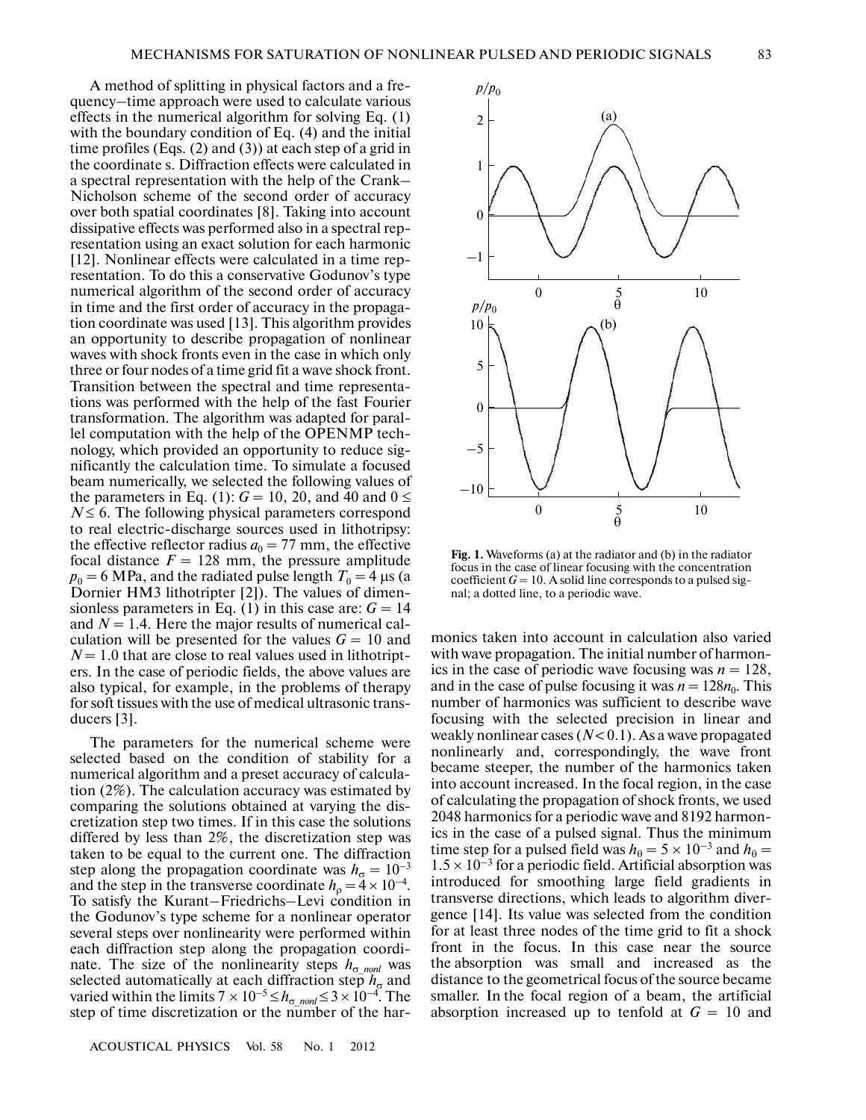A method of splitting in physical factors and a fre quency–time approach were used to calculate various effects in the numerical algorithm for solving Eq. (1) with the boundary condition of Eq. (4) and the initial time profiles (Eqs. (2) and (3)) at each step of a grid in the coordinate s. Diffraction effects were calculated in a spectral representation with the help of the Crank– Nicholson scheme of the second order of accuracy over both spatial coordinates [8]. Taking into account dissipative effects was performed also in a spectral rep resentation using an exact solution for each harmonic [12]. Nonlinear effects were calculated in a time rep resentation. To do this a conservative Godunov's type numerical algorithm of the second order of accuracy in time and the first order of accuracy in the propaga tion coordinate was used [13]. This algorithm provides an opportunity to describe propagation of nonlinear waves with shock fronts even in the case in which only three or four nodes of a time grid fit a wave shock front. Transition between the spectral and time representa tions was performed with the help of the fast Fourier transformation. The algorithm was adapted for paral lel computation with the help of the OPENMP tech nology, which provided an opportunity to reduce sig nificantly the calculation time. To simulate a focused beam numerically, we selected the following values of the parameters in Eq. (1):  $G = 10$ , 20, and 40 and  $0 \le$  $N \leq 6$ . The following physical parameters correspond to real electric-discharge sources used in lithotripsy: the effective reflector radius  $a_0 = 77$  mm, the effective focal distance  $F = 128$  mm, the pressure amplitude  $p_0 = 6$  MPa, and the radiated pulse length  $T_0 = 4$  μs (a Dornier HM3 lithotripter [2]). The values of dimen sionless parameters in Eq. (1) in this case are:  $G = 14$ and *N* = 1.4. Here the major results of numerical cal culation will be presented for the values  $G = 10$  and  $N = 1.0$  that are close to real values used in lithotripters. In the case of periodic fields, the above values are also typical, for example, in the problems of therapy for soft tissues with the use of medical ultrasonic trans ducers [3].

The parameters for the numerical scheme were selected based on the condition of stability for a numerical algorithm and a preset accuracy of calcula tion (2%). The calculation accuracy was estimated by comparing the solutions obtained at varying the dis cretization step two times. If in this case the solutions differed by less than 2%, the discretization step was taken to be equal to the current one. The diffraction step along the propagation coordinate was  $h_{\sigma} = 10^{-3}$ and the step in the transverse coordinate  $h_{\rho} = 4 \times 10^{-4}$ . To satisfy the Kurant–Friedrichs–Levi condition in the Godunov's type scheme for a nonlinear operator several steps over nonlinearity were performed within each diffraction step along the propagation coordi nate. The size of the nonlinearity steps  $h_{\sigma}$ <sub>nonl</sub> was selected automatically at each diffraction step  $h_{\sigma}$  and varied within the limits  $7 \times 10^{-5} \leq h_{\sigma\_nonl} \leq 3 \times 10^{-4}$ . The step of time discretization or the number of the har-

ACOUSTICAL PHYSICS Vol. 58 No. 1 2012



**Fig. 1.** Waveforms (a) at the radiator and (b) in the radiator focus in the case of linear focusing with the concentration coefficient  $G = 10$ . A solid line corresponds to a pulsed signal; a dotted line, to a periodic wave.

monics taken into account in calculation also varied with wave propagation. The initial number of harmon ics in the case of periodic wave focusing was  $n = 128$ , and in the case of pulse focusing it was  $n = 128n_0$ . This number of harmonics was sufficient to describe wave focusing with the selected precision in linear and weakly nonlinear cases (*N* < 0.1). As a wave propagated nonlinearly and, correspondingly, the wave front became steeper, the number of the harmonics taken into account increased. In the focal region, in the case of calculating the propagation of shock fronts, we used 2048 harmonics for a periodic wave and 8192 harmon ics in the case of a pulsed signal. Thus the minimum time step for a pulsed field was  $h_{\theta} = 5 \times 10^{-3}$  and  $h_{\theta} =$  $1.5 \times 10^{-3}$  for a periodic field. Artificial absorption was introduced for smoothing large field gradients in transverse directions, which leads to algorithm diver gence [14]. Its value was selected from the condition for at least three nodes of the time grid to fit a shock front in the focus. In this case near the source the absorption was small and increased as the distance to the geometrical focus of the source became smaller. In the focal region of a beam, the artificial absorption increased up to tenfold at  $G = 10$  and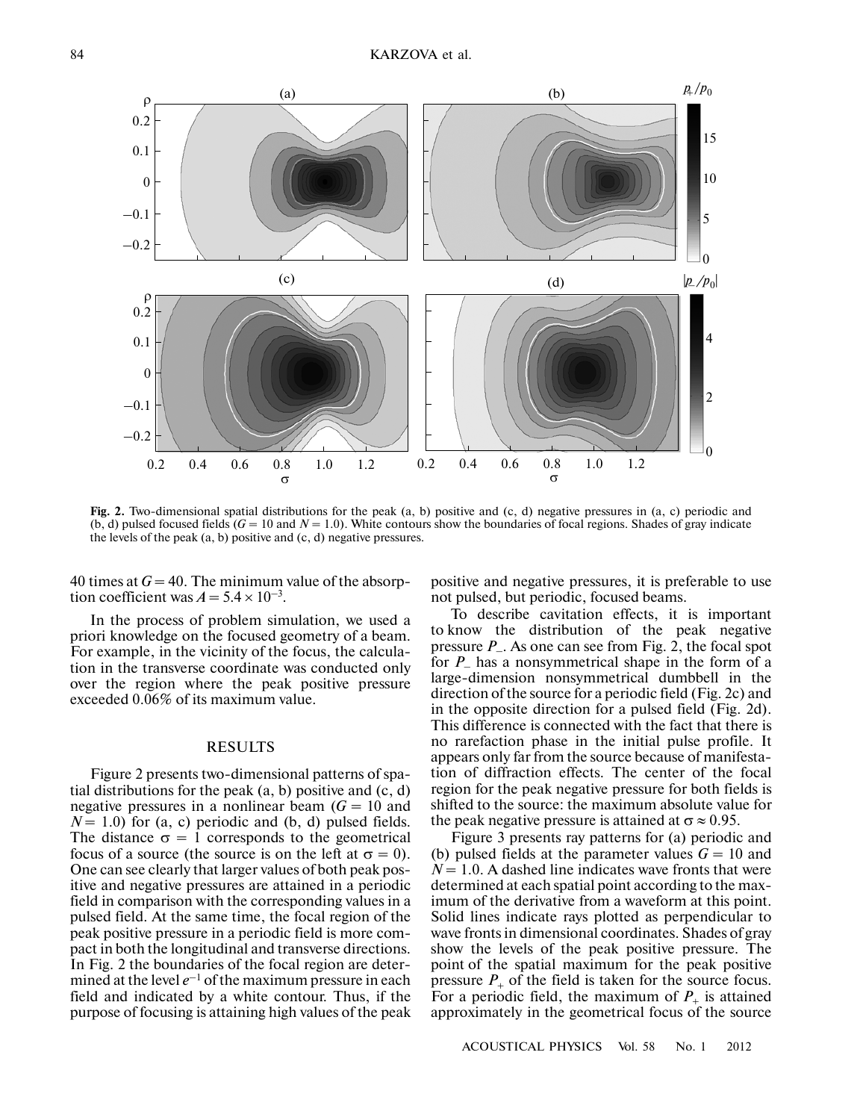

**Fig. 2.** Two-dimensional spatial distributions for the peak (a, b) positive and (c, d) negative pressures in (a, c) periodic and (b, d) pulsed focused fields  $(G = 10$  and  $N = 1.0)$ . White contours show the boundaries of focal regions. Shades of gray indicate the levels of the peak  $(a, b)$  positive and  $(c, d)$  negative pressures.

40 times at  $G = 40$ . The minimum value of the absorption coefficient was  $A = 5.4 \times 10^{-3}$ .

In the process of problem simulation, we used a priori knowledge on the focused geometry of a beam. For example, in the vicinity of the focus, the calcula tion in the transverse coordinate was conducted only over the region where the peak positive pressure exceeded 0.06% of its maximum value.

## RESULTS

Figure 2 presents two-dimensional patterns of spa tial distributions for the peak  $(a, b)$  positive and  $(c, d)$ negative pressures in a nonlinear beam (*G =* 10 and  $N = 1.0$ ) for (a, c) periodic and (b, d) pulsed fields. The distance  $\sigma = 1$  corresponds to the geometrical focus of a source (the source is on the left at  $\sigma = 0$ ). One can see clearly that larger values of both peak pos itive and negative pressures are attained in a periodic field in comparison with the corresponding values in a pulsed field. At the same time, the focal region of the peak positive pressure in a periodic field is more com pact in both the longitudinal and transverse directions. In Fig. 2 the boundaries of the focal region are deter mined at the level  $e^{-1}$  of the maximum pressure in each field and indicated by a white contour. Thus, if the purpose of focusing is attaining high values of the peak

positive and negative pressures, it is preferable to use not pulsed, but periodic, focused beams.

To describe cavitation effects, it is important to know the distribution of the peak negative pressure *P*–. As one can see from Fig. 2, the focal spot for *P*– has a nonsymmetrical shape in the form of a large-dimension nonsymmetrical dumbbell in the direction of the source for a periodic field (Fig. 2c) and in the opposite direction for a pulsed field (Fig. 2d). This difference is connected with the fact that there is no rarefaction phase in the initial pulse profile. It appears only far from the source because of manifesta tion of diffraction effects. The center of the focal region for the peak negative pressure for both fields is shifted to the source: the maximum absolute value for the peak negative pressure is attained at  $\sigma \approx 0.95$ .

Figure 3 presents ray patterns for (a) periodic and (b) pulsed fields at the parameter values  $G = 10$  and  $N = 1.0$ . A dashed line indicates wave fronts that were determined at each spatial point according to the max imum of the derivative from a waveform at this point. Solid lines indicate rays plotted as perpendicular to wave fronts in dimensional coordinates. Shades of gray show the levels of the peak positive pressure. The point of the spatial maximum for the peak positive pressure  $P_+$  of the field is taken for the source focus. For a periodic field, the maximum of  $P_+$  is attained approximately in the geometrical focus of the source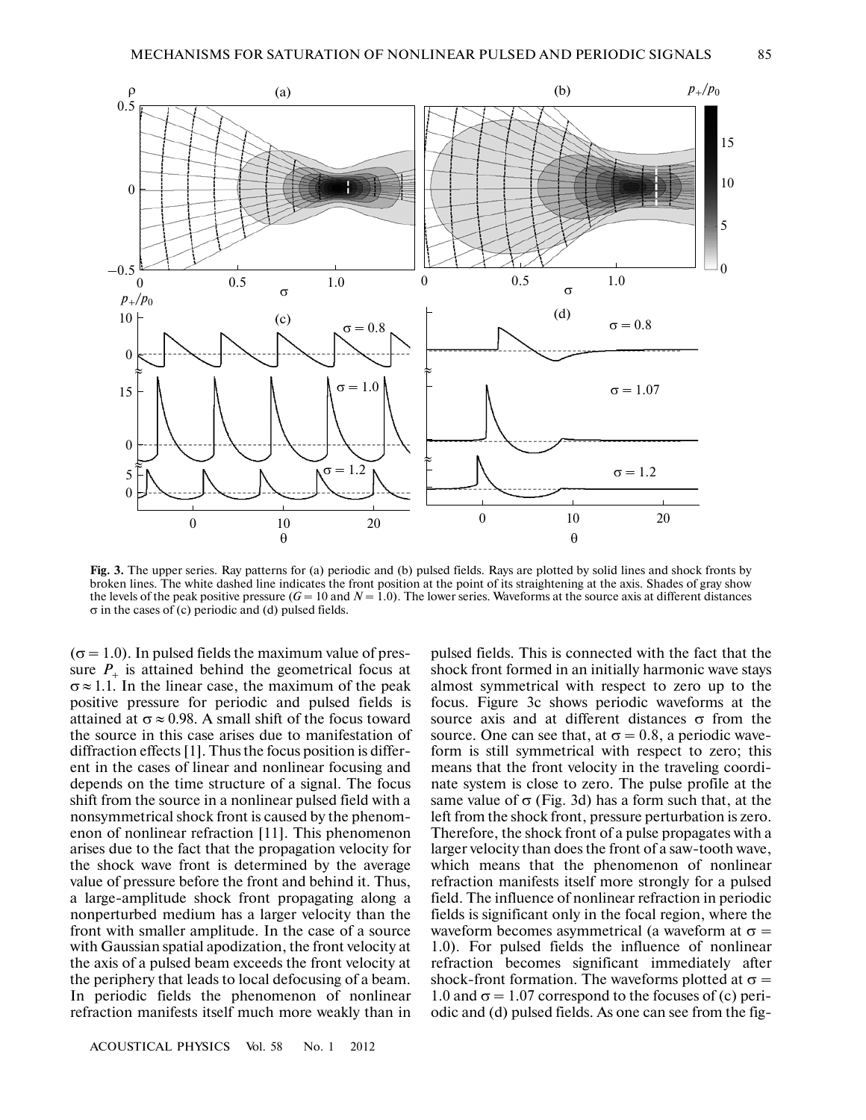

**Fig. 3.** The upper series. Ray patterns for (a) periodic and (b) pulsed fields. Rays are plotted by solid lines and shock fronts by broken lines. The white dashed line indicates the front position at the point of its straightening at the axis. Shades of gray show the levels of the peak positive pressure  $(G = 10$  and  $N = 1.0)$ . The lower series. Waveforms at the source axis at different distances σ in the cases of (c) periodic and (d) pulsed fields.

 $(\sigma = 1.0)$ . In pulsed fields the maximum value of pressure  $P_+$  is attained behind the geometrical focus at  $\sigma \approx 1.1$ . In the linear case, the maximum of the peak positive pressure for periodic and pulsed fields is attained at  $\sigma \approx 0.98$ . A small shift of the focus toward the source in this case arises due to manifestation of diffraction effects [1]. Thus the focus position is differ ent in the cases of linear and nonlinear focusing and depends on the time structure of a signal. The focus shift from the source in a nonlinear pulsed field with a nonsymmetrical shock front is caused by the phenom enon of nonlinear refraction [11]. This phenomenon arises due to the fact that the propagation velocity for the shock wave front is determined by the average value of pressure before the front and behind it. Thus, a large-amplitude shock front propagating along a nonperturbed medium has a larger velocity than the front with smaller amplitude. In the case of a source with Gaussian spatial apodization, the front velocity at the axis of a pulsed beam exceeds the front velocity at the periphery that leads to local defocusing of a beam. In periodic fields the phenomenon of nonlinear refraction manifests itself much more weakly than in

ACOUSTICAL PHYSICS Vol. 58 No. 1 2012

pulsed fields. This is connected with the fact that the shock front formed in an initially harmonic wave stays almost symmetrical with respect to zero up to the focus. Figure 3c shows periodic waveforms at the source axis and at different distances  $\sigma$  from the source. One can see that, at  $\sigma = 0.8$ , a periodic waveform is still symmetrical with respect to zero; this means that the front velocity in the traveling coordi nate system is close to zero. The pulse profile at the same value of  $\sigma$  (Fig. 3d) has a form such that, at the left from the shock front, pressure perturbation is zero. Therefore, the shock front of a pulse propagates with a larger velocity than does the front of a saw-tooth wave, which means that the phenomenon of nonlinear refraction manifests itself more strongly for a pulsed field. The influence of nonlinear refraction in periodic fields is significant only in the focal region, where the waveform becomes asymmetrical (a waveform at  $\sigma$  = 1.0). For pulsed fields the influence of nonlinear refraction becomes significant immediately after shock-front formation. The waveforms plotted at  $\sigma =$ 1.0 and  $\sigma$  = 1.07 correspond to the focuses of (c) periodic and (d) pulsed fields. As one can see from the fig-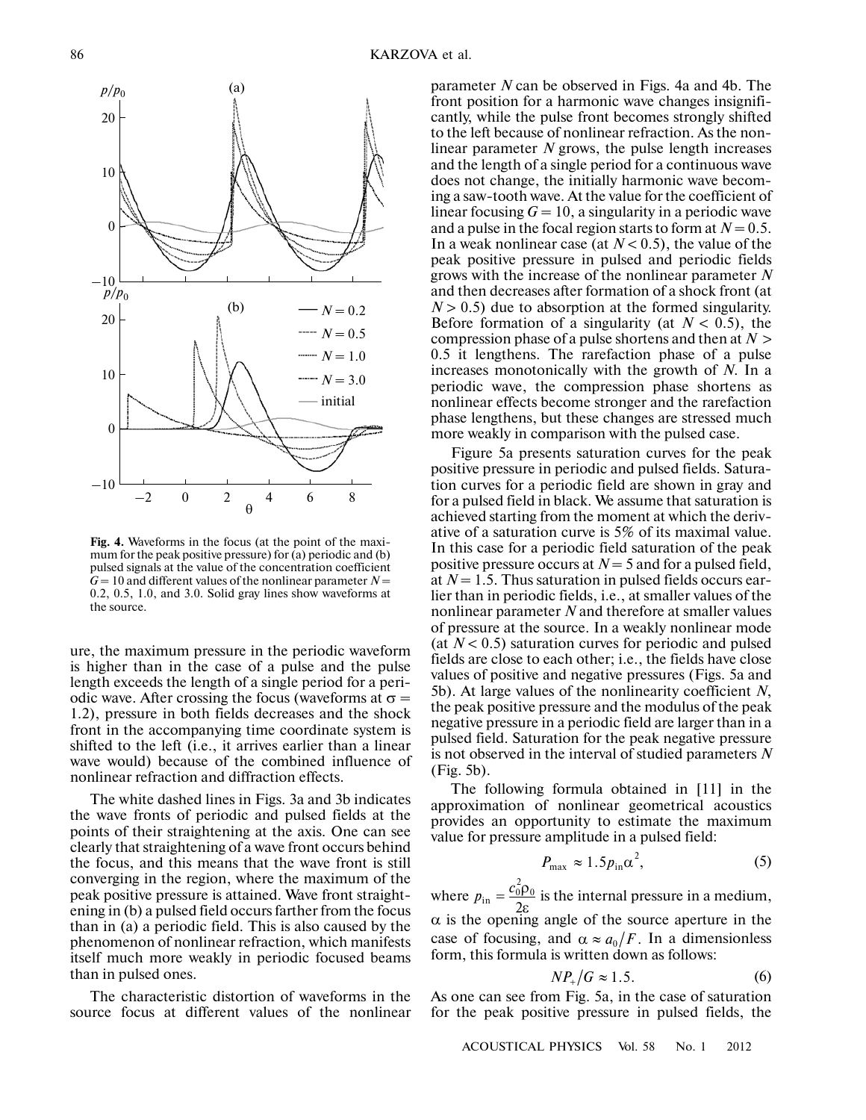

**Fig. 4.** Waveforms in the focus (at the point of the maxi mum for the peak positive pressure) for (a) periodic and (b) pulsed signals at the value of the concentration coefficient  $G = 10$  and different values of the nonlinear parameter  $N =$ 0.2, 0.5, 1.0, and 3.0. Solid gray lines show waveforms at the source.

ure, the maximum pressure in the periodic waveform is higher than in the case of a pulse and the pulse length exceeds the length of a single period for a peri odic wave. After crossing the focus (waveforms at  $\sigma$  = 1.2), pressure in both fields decreases and the shock front in the accompanying time coordinate system is shifted to the left (i.e., it arrives earlier than a linear wave would) because of the combined influence of nonlinear refraction and diffraction effects.

The white dashed lines in Figs. 3a and 3b indicates the wave fronts of periodic and pulsed fields at the points of their straightening at the axis. One can see clearly that straightening of a wave front occurs behind the focus, and this means that the wave front is still converging in the region, where the maximum of the peak positive pressure is attained. Wave front straight ening in (b) a pulsed field occurs farther from the focus than in (a) a periodic field. This is also caused by the phenomenon of nonlinear refraction, which manifests itself much more weakly in periodic focused beams than in pulsed ones.

The characteristic distortion of waveforms in the source focus at different values of the nonlinear parameter *N* can be observed in Figs. 4a and 4b. The front position for a harmonic wave changes insignifi cantly, while the pulse front becomes strongly shifted to the left because of nonlinear refraction. As the non linear parameter *N* grows, the pulse length increases and the length of a single period for a continuous wave does not change, the initially harmonic wave becom ing a saw-tooth wave. At the value for the coefficient of linear focusing  $G = 10$ , a singularity in a periodic wave and a pulse in the focal region starts to form at  $N = 0.5$ . In a weak nonlinear case (at  $N < 0.5$ ), the value of the peak positive pressure in pulsed and periodic fields grows with the increase of the nonlinear parameter *N* and then decreases after formation of a shock front (at  $N > 0.5$ ) due to absorption at the formed singularity. Before formation of a singularity (at  $N < 0.5$ ), the compression phase of a pulse shortens and then at *N* > 0.5 it lengthens. The rarefaction phase of a pulse increases monotonically with the growth of *N*. In a periodic wave, the compression phase shortens as nonlinear effects become stronger and the rarefaction phase lengthens, but these changes are stressed much more weakly in comparison with the pulsed case.

Figure 5a presents saturation curves for the peak positive pressure in periodic and pulsed fields. Satura tion curves for a periodic field are shown in gray and for a pulsed field in black. We assume that saturation is achieved starting from the moment at which the deriv ative of a saturation curve is 5% of its maximal value. In this case for a periodic field saturation of the peak positive pressure occurs at *N* = 5 and for a pulsed field, at *N* = 1.5. Thus saturation in pulsed fields occurs ear lier than in periodic fields, i.e., at smaller values of the nonlinear parameter *N* and therefore at smaller values of pressure at the source. In a weakly nonlinear mode (at  $N < 0.5$ ) saturation curves for periodic and pulsed fields are close to each other; i.e., the fields have close values of positive and negative pressures (Figs. 5a and 5b). At large values of the nonlinearity coefficient *N*, the peak positive pressure and the modulus of the peak negative pressure in a periodic field are larger than in a pulsed field. Saturation for the peak negative pressure is not observed in the interval of studied parameters *N* (Fig. 5b).

The following formula obtained in [11] in the approximation of nonlinear geometrical acoustics provides an opportunity to estimate the maximum value for pressure amplitude in a pulsed field:

$$
P_{\text{max}} \approx 1.5 p_{\text{in}} \alpha^2, \tag{5}
$$

where  $p_{\text{in}} = \frac{c_0 p_0}{2}$  is the internal pressure in a medium,  $\alpha$  is the opening angle of the source aperture in the case of focusing, and  $\alpha \approx a_0/F$ . In a dimensionless form, this formula is written down as follows: in  $^{2}_{0}$  $\rho_{0}$ 2  $p_{\text{in}} = \frac{c_0^2 \rho}{2\varepsilon}$ 

$$
NP_{+}/G \approx 1.5. \tag{6}
$$

As one can see from Fig. 5a, in the case of saturation for the peak positive pressure in pulsed fields, the

ACOUSTICAL PHYSICS Vol. 58 No. 1 2012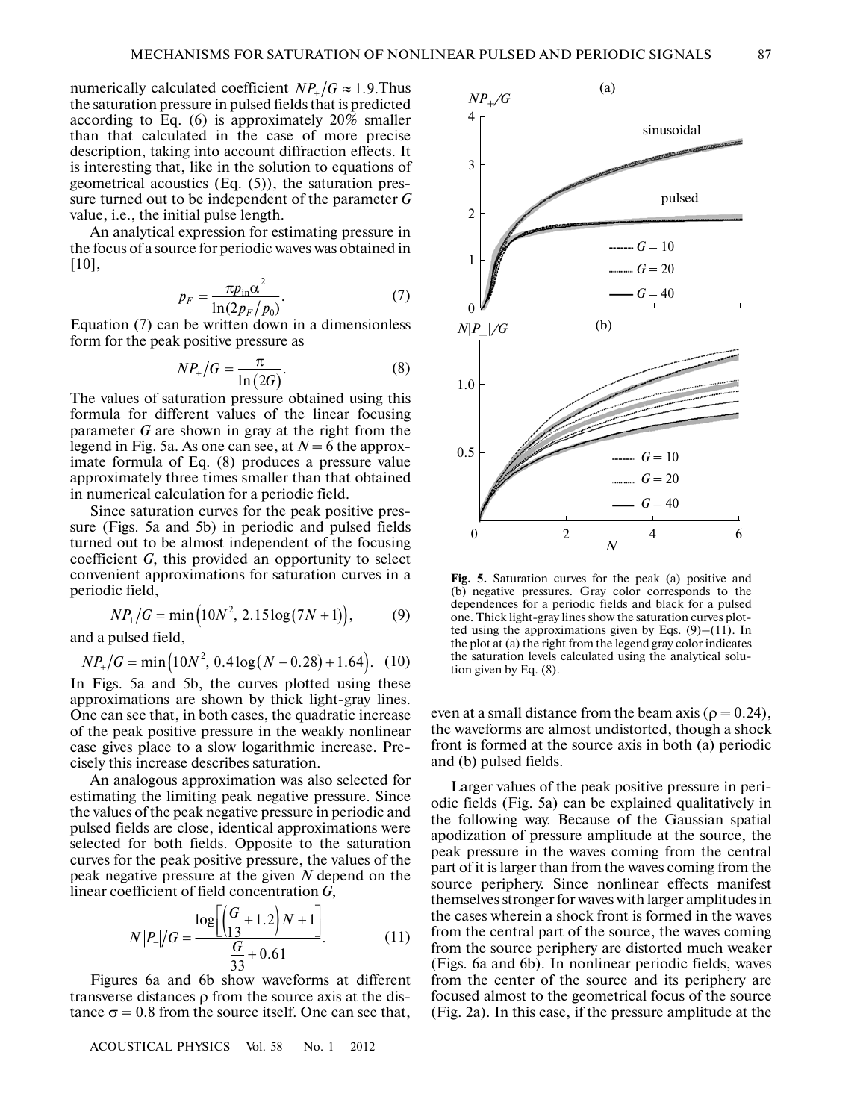numerically calculated coefficient  $NP_{+}/G \approx 1.9$ . Thus the saturation pressure in pulsed fields that is predicted according to Eq. (6) is approximately 20% smaller than that calculated in the case of more precise description, taking into account diffraction effects. It is interesting that, like in the solution to equations of geometrical acoustics (Eq. (5)), the saturation pres sure turned out to be independent of the parameter *G* value, i.e., the initial pulse length.

An analytical expression for estimating pressure in the focus of a source for periodic waves was obtained in [10],

$$
p_F = \frac{\pi p_{\rm in} \alpha^2}{\ln(2 p_F / p_0)}.
$$
 (7)

Equation (7) can be written down in a dimensionless form for the peak positive pressure as

$$
NP_{+}/G = \frac{\pi}{\ln(2G)}.
$$
 (8)

The values of saturation pressure obtained using this formula for different values of the linear focusing parameter *G* are shown in gray at the right from the legend in Fig. 5a. As one can see, at  $N = 6$  the approximate formula of Eq. (8) produces a pressure value approximately three times smaller than that obtained in numerical calculation for a periodic field.

Since saturation curves for the peak positive pres sure (Figs. 5a and 5b) in periodic and pulsed fields turned out to be almost independent of the focusing coefficient *G*, this provided an opportunity to select convenient approximations for saturation curves in a periodic field,

$$
NP_{+}/G = \min(10N^{2}, 2.15\log(7N+1)),
$$
 (9)

and a pulsed field,

$$
NP_{+}/G = \min(10N^{2}, 0.4\log(N - 0.28) + 1.64). \quad (10)
$$

In Figs. 5a and 5b, the curves plotted using these approximations are shown by thick light-gray lines. One can see that, in both cases, the quadratic increase of the peak positive pressure in the weakly nonlinear case gives place to a slow logarithmic increase. Pre cisely this increase describes saturation.

An analogous approximation was also selected for estimating the limiting peak negative pressure. Since the values of the peak negative pressure in periodic and pulsed fields are close, identical approximations were selected for both fields. Opposite to the saturation curves for the peak positive pressure, the values of the peak negative pressure at the given *N* depend on the

linear coefficient of field concentration *G*,  
\n
$$
N|P_{-}|/G = \frac{\log\left[\left(\frac{G}{13} + 1.2\right)N + 1\right]}{\frac{G}{33} + 0.61}.
$$
\n(11)

Figures 6a and 6b show waveforms at different transverse distances ρ from the source axis at the dis tance  $\sigma = 0.8$  from the source itself. One can see that,

ACOUSTICAL PHYSICS Vol. 58 No. 1 2012



**Fig. 5.** Saturation curves for the peak (a) positive and (b) negative pressures. Gray color corresponds to the dependences for a periodic fields and black for a pulsed one. Thick light-gray lines show the saturation curves plot ted using the approximations given by Eqs.  $(9)$ – $(11)$ . In the plot at (a) the right from the legend gray color indicates the saturation levels calculated using the analytical solu tion given by Eq. (8).

even at a small distance from the beam axis ( $\rho = 0.24$ ), the waveforms are almost undistorted, though a shock front is formed at the source axis in both (a) periodic and (b) pulsed fields.

Larger values of the peak positive pressure in peri odic fields (Fig. 5a) can be explained qualitatively in the following way. Because of the Gaussian spatial apodization of pressure amplitude at the source, the peak pressure in the waves coming from the central part of it is larger than from the waves coming from the source periphery. Since nonlinear effects manifest themselves stronger for waves with larger amplitudes in the cases wherein a shock front is formed in the waves from the central part of the source, the waves coming from the source periphery are distorted much weaker (Figs. 6a and 6b). In nonlinear periodic fields, waves from the center of the source and its periphery are focused almost to the geometrical focus of the source (Fig. 2a). In this case, if the pressure amplitude at the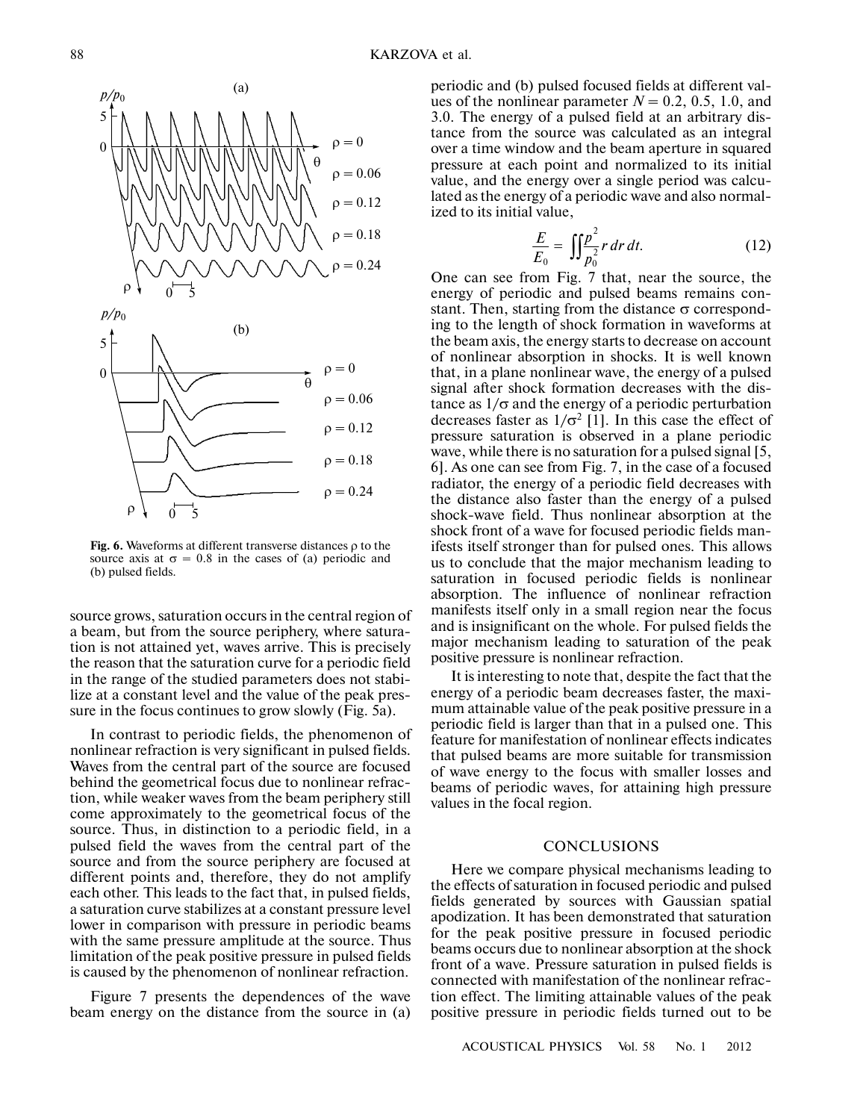



**Fig. 6.** Waveforms at different transverse distances ρ to the source axis at  $\sigma = 0.8$  in the cases of (a) periodic and (b) pulsed fields.

source grows, saturation occurs in the central region of a beam, but from the source periphery, where satura tion is not attained yet, waves arrive. This is precisely the reason that the saturation curve for a periodic field in the range of the studied parameters does not stabilize at a constant level and the value of the peak pres sure in the focus continues to grow slowly (Fig. 5a).

In contrast to periodic fields, the phenomenon of nonlinear refraction is very significant in pulsed fields. Waves from the central part of the source are focused behind the geometrical focus due to nonlinear refrac tion, while weaker waves from the beam periphery still come approximately to the geometrical focus of the source. Thus, in distinction to a periodic field, in a pulsed field the waves from the central part of the source and from the source periphery are focused at different points and, therefore, they do not amplify each other. This leads to the fact that, in pulsed fields, a saturation curve stabilizes at a constant pressure level lower in comparison with pressure in periodic beams with the same pressure amplitude at the source. Thus limitation of the peak positive pressure in pulsed fields is caused by the phenomenon of nonlinear refraction.

Figure 7 presents the dependences of the wave beam energy on the distance from the source in (a)

periodic and (b) pulsed focused fields at different val ues of the nonlinear parameter  $N = 0.2, 0.5, 1.0,$  and 3.0. The energy of a pulsed field at an arbitrary dis tance from the source was calculated as an integral over a time window and the beam aperture in squared pressure at each point and normalized to its initial value, and the energy over a single period was calcu lated as the energy of a periodic wave and also normal ized to its initial value,

$$
\frac{E}{E_0} = \iint_{P_0^2}^{P_2} r \, dr \, dt. \tag{12}
$$

One can see from Fig. 7 that, near the source, the energy of periodic and pulsed beams remains con stant. Then, starting from the distance  $\sigma$  corresponding to the length of shock formation in waveforms at the beam axis, the energy starts to decrease on account of nonlinear absorption in shocks. It is well known that, in a plane nonlinear wave, the energy of a pulsed signal after shock formation decreases with the dis tance as  $1/\sigma$  and the energy of a periodic perturbation decreases faster as  $1/\sigma^2$  [1]. In this case the effect of pressure saturation is observed in a plane periodic wave, while there is no saturation for a pulsed signal [5, 6]. As one can see from Fig. 7, in the case of a focused radiator, the energy of a periodic field decreases with the distance also faster than the energy of a pulsed shock-wave field. Thus nonlinear absorption at the shock front of a wave for focused periodic fields man ifests itself stronger than for pulsed ones. This allows us to conclude that the major mechanism leading to saturation in focused periodic fields is nonlinear absorption. The influence of nonlinear refraction manifests itself only in a small region near the focus and is insignificant on the whole. For pulsed fields the major mechanism leading to saturation of the peak positive pressure is nonlinear refraction.

It is interesting to note that, despite the fact that the energy of a periodic beam decreases faster, the maxi mum attainable value of the peak positive pressure in a periodic field is larger than that in a pulsed one. This feature for manifestation of nonlinear effects indicates that pulsed beams are more suitable for transmission of wave energy to the focus with smaller losses and beams of periodic waves, for attaining high pressure values in the focal region.

## **CONCLUSIONS**

Here we compare physical mechanisms leading to the effects of saturation in focused periodic and pulsed fields generated by sources with Gaussian spatial apodization. It has been demonstrated that saturation for the peak positive pressure in focused periodic beams occurs due to nonlinear absorption at the shock front of a wave. Pressure saturation in pulsed fields is connected with manifestation of the nonlinear refrac tion effect. The limiting attainable values of the peak positive pressure in periodic fields turned out to be